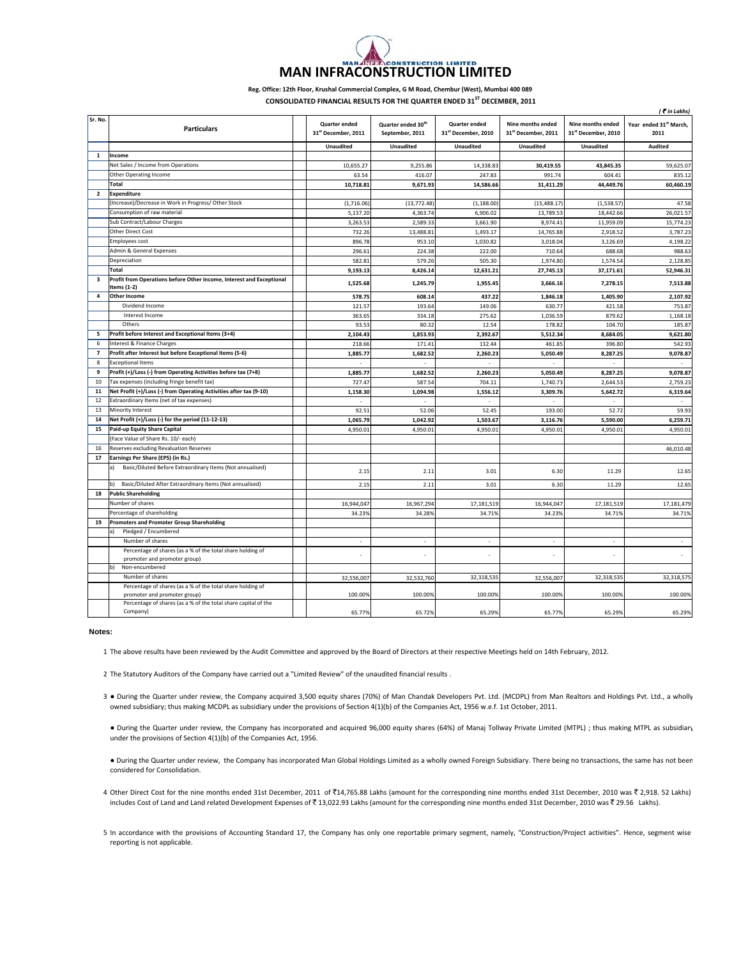## **NSTRUCTION LIMITED MAN INFRACONSTRUCTION LIMITED**

## **Reg. Office: 12th Floor, Krushal Commercial Complex, G M Road, Chembur (West), Mumbai 400 089 CONSOLIDATED FINANCIAL RESULTS FOR THE QUARTER ENDED 31ST DECEMBER, 2011**

|                         |                                                                                                |                                                  |                                                   |                                      |                                          |                                                      | ( * in Lakhs)                              |
|-------------------------|------------------------------------------------------------------------------------------------|--------------------------------------------------|---------------------------------------------------|--------------------------------------|------------------------------------------|------------------------------------------------------|--------------------------------------------|
| Sr. No.                 | <b>Particulars</b>                                                                             | Quarter ended<br>31 <sup>st</sup> December, 2011 | Quarter ended 30 <sup>th</sup><br>September, 2011 | Quarter ended<br>31st December, 2010 | Nine months ended<br>31st December, 2011 | Nine months ended<br>31 <sup>st</sup> December, 2010 | Year ended 31 <sup>st</sup> March,<br>2011 |
|                         |                                                                                                | <b>Unaudited</b>                                 | <b>Unaudited</b>                                  | <b>Unaudited</b>                     | <b>Unaudited</b>                         | <b>Unaudited</b>                                     | <b>Audited</b>                             |
| $\mathbf{1}$            | Income                                                                                         |                                                  |                                                   |                                      |                                          |                                                      |                                            |
|                         | Net Sales / Income from Operations                                                             | 10,655.27                                        | 9,255.86                                          | 14,338.83                            | 30,419.55                                | 43,845.35                                            | 59,625.07                                  |
|                         | Other Operating Income                                                                         | 63.54                                            | 416.07                                            | 247.83                               | 991.74                                   | 604.41                                               | 835.12                                     |
|                         | Total                                                                                          | 10,718.81                                        | 9,671.93                                          | 14,586.66                            | 31,411.29                                | 44,449.76                                            | 60,460.19                                  |
| $\overline{2}$          | <b>Expenditure</b>                                                                             |                                                  |                                                   |                                      |                                          |                                                      |                                            |
|                         | (Increase)/Decrease in Work in Progress/ Other Stock                                           | (1,716.06)                                       | (13, 772.48)                                      | (1, 188.00)                          | (15, 488.17)                             | (1,538.57)                                           | 47.58                                      |
|                         | Consumption of raw material                                                                    | 5,137.20                                         | 4,363.74                                          | 6,906.02                             | 13,789.53                                | 18,442.66                                            | 26,021.57                                  |
|                         | Sub Contract/Labour Charges                                                                    | 3,263.53                                         | 2,589.33                                          | 3,661.90                             | 8,974.41                                 | 11,959.09                                            | 15,774.23                                  |
|                         | <b>Other Direct Cost</b>                                                                       | 732.26                                           | 13,488.81                                         | 1,493.17                             | 14,765.88                                | 2,918.52                                             | 3,787.23                                   |
|                         | <b>Employees cost</b>                                                                          | 896.78                                           | 953.10                                            | 1,030.82                             | 3,018.04                                 | 3,126.69                                             | 4.198.22                                   |
|                         | Admin & General Expenses                                                                       | 296.61                                           | 224.38                                            | 222.00                               | 710.64                                   | 688.68                                               | 988.63                                     |
|                         | Depreciation                                                                                   | 582.81                                           | 579.26                                            | 505.30                               | 1,974.80                                 | 1,574.54                                             | 2,128.85                                   |
|                         | Total                                                                                          | 9,193.13                                         | 8,426.14                                          | 12,631.21                            | 27,745.13                                | 37,171.61                                            | 52,946.31                                  |
| $\overline{\mathbf{3}}$ | Profit from Operations before Other Income, Interest and Exceptional                           |                                                  |                                                   |                                      |                                          |                                                      |                                            |
|                         | Items (1-2)                                                                                    | 1,525.68                                         | 1,245.79                                          | 1,955.45                             | 3,666.16                                 | 7,278.15                                             | 7,513.88                                   |
| 4                       | <b>Other Income</b>                                                                            | 578.75                                           | 608.14                                            | 437.22                               | 1,846.18                                 | 1,405.90                                             | 2,107.92                                   |
|                         | Dividend Income                                                                                | 121.57                                           | 193.64                                            | 149.06                               | 630.77                                   | 421.58                                               | 753.87                                     |
|                         | Interest Income                                                                                | 363.65                                           | 334.18                                            | 275.62                               | 1,036.59                                 | 879.62                                               | 1,168.18                                   |
|                         | Others                                                                                         | 93.53                                            | 80.32                                             | 12.54                                | 178.82                                   | 104.70                                               | 185.87                                     |
| 5                       | Profit before Interest and Exceptional Items (3+4)                                             | 2,104.43                                         | 1,853.93                                          | 2,392.67                             | 5,512.34                                 | 8,684.05                                             | 9,621.80                                   |
| 6                       | Interest & Finance Charges                                                                     | 218.66                                           | 171.41                                            | 132.44                               | 461.85                                   | 396.80                                               | 542.93                                     |
| $\overline{7}$          | Profit after Interest but before Exceptional Items (5-6)                                       | 1.885.77                                         | 1,682.52                                          | 2.260.23                             | 5,050.49                                 | 8.287.25                                             | 9.078.87                                   |
| 8                       | <b>Exceptional Items</b>                                                                       |                                                  |                                                   |                                      |                                          |                                                      |                                            |
| 9                       | Profit (+)/Loss (-) from Operating Activities before tax (7+8)                                 | 1,885.77                                         | 1,682.52                                          | 2,260.23                             | 5,050.49                                 | 8,287.25                                             | 9,078.87                                   |
| 10                      | Tax expenses (including fringe benefit tax)                                                    | 727.47                                           | 587.54                                            | 704.11                               | 1,740.73                                 | 2,644.53                                             | 2,759.23                                   |
| 11                      | Net Profit (+)/Loss (-) from Operating Activities after tax (9-10)                             | 1,158.30                                         | 1,094.98                                          | 1,556.12                             | 3,309.76                                 | 5,642.72                                             | 6,319.64                                   |
| 12                      | Extraordinary Items (net of tax expenses)                                                      |                                                  |                                                   |                                      |                                          |                                                      |                                            |
| 13                      | Minority Interest                                                                              | 92.51                                            | 52.06                                             | 52.45                                | 193.00                                   | 52.72                                                | 59.93                                      |
| 14                      | Net Profit (+)/Loss (-) for the period (11-12-13)                                              | 1,065.79                                         | 1,042.92                                          | 1,503.67                             | 3,116.76                                 | 5,590.00                                             | 6,259.71                                   |
| 15                      | Paid-up Equity Share Capital                                                                   | 4,950.01                                         | 4,950.01                                          | 4,950.01                             | 4,950.01                                 | 4,950.01                                             | 4,950.01                                   |
|                         | (Face Value of Share Rs. 10/- each)                                                            |                                                  |                                                   |                                      |                                          |                                                      |                                            |
| 16                      | Reserves excluding Revaluation Reserves                                                        |                                                  |                                                   |                                      |                                          |                                                      | 46,010.48                                  |
| 17                      | Earnings Per Share (EPS) (in Rs.)                                                              |                                                  |                                                   |                                      |                                          |                                                      |                                            |
|                         | Basic/Diluted Before Extraordinary Items (Not annualised)<br>a)                                | 2.15                                             | 2.11                                              | 3.01                                 | 6.30                                     | 11.29                                                | 12.65                                      |
|                         | Basic/Diluted After Extraordinary Items (Not annualised)<br>b)                                 | 2.15                                             | 2.11                                              | 3.01                                 | 6.30                                     | 11.29                                                | 12.65                                      |
| 18                      | <b>Public Shareholding</b>                                                                     |                                                  |                                                   |                                      |                                          |                                                      |                                            |
|                         | Number of shares                                                                               | 16,944,047                                       | 16,967,294                                        | 17,181,519                           | 16,944,047                               | 17,181,519                                           | 17,181,479                                 |
|                         | Percentage of shareholding                                                                     | 34.23%                                           | 34.28%                                            | 34.71%                               | 34.23%                                   | 34.71%                                               | 34.71%                                     |
| 19                      | <b>Promoters and Promoter Group Shareholding</b>                                               |                                                  |                                                   |                                      |                                          |                                                      |                                            |
|                         | Pledged / Encumbered<br>aì                                                                     |                                                  |                                                   |                                      |                                          |                                                      |                                            |
|                         | Number of shares                                                                               | ÷                                                | à.                                                | $\overline{\phantom{a}}$             | ÷.                                       | ×.                                                   | $\sim$                                     |
|                         | Percentage of shares (as a % of the total share holding of<br>promoter and promoter group)     |                                                  |                                                   |                                      |                                          |                                                      |                                            |
|                         | Non-encumbered                                                                                 |                                                  |                                                   |                                      |                                          |                                                      |                                            |
|                         | Number of shares                                                                               | 32,556,007                                       | 32,532,760                                        | 32,318,535                           | 32,556,007                               | 32,318,535                                           | 32,318,575                                 |
|                         | Percentage of shares (as a % of the total share holding of                                     |                                                  |                                                   |                                      |                                          |                                                      |                                            |
|                         | promoter and promoter group)<br>Percentage of shares (as a % of the total share capital of the | 100.00%                                          | 100.00%                                           | 100.00%                              | 100.00%                                  | 100.009                                              | 100.00%                                    |
|                         | Company)                                                                                       | 65.77%                                           | 65.72%                                            | 65.29%                               | 65.77%                                   | 65.29%                                               | 65.29%                                     |

## **Notes:**

1 The above results have been reviewed by the Audit Committee and approved by the Board of Directors at their respective Meetings held on 14th February, 2012.

2 The Statutory Auditors of the Company have carried out a "Limited Review" of the unaudited financial results .

3 . During the Quarter under review, the Company acquired 3,500 equity shares (70%) of Man Chandak Developers Pvt. Ltd. (MCDPL) from Man Realtors and Holdings Pvt. Ltd., a wholly owned subsidiary; thus making MCDPL as subsidiary under the provisions of Section 4(1)(b) of the Companies Act, 1956 w.e.f. 1st October, 2011.

● During the Quarter under review, the Company has incorporated and acquired 96,000 equity shares (64%) of Manaj Tollway Private Limited (MTPL) ; thus making MTPL as subsidiary under the provisions of Section 4(1)(b) of the Companies Act, 1956.

● During the Quarter under review, the Company has incorporated Man Global Holdings Limited as a wholly owned Foreign Subsidiary. There being no transactions, the same has not been considered for Consolidation.

4 Other Direct Cost for the nine months ended 31st December, 2011 of ₹14,765.88 Lakhs (amount for the corresponding nine months ended 31st December, 2010 was ₹ 2,918. 52 Lakhs) includes Cost of Land and Land related Development Expenses of ₹13,022.93 Lakhs (amount for the corresponding nine months ended 31st December, 2010 was ₹29.56 Lakhs).

5 In accordance with the provisions of Accounting Standard 17, the Company has only one reportable primary segment, namely, "Construction/Project activities". Hence, segment wise reporting is not applicable.